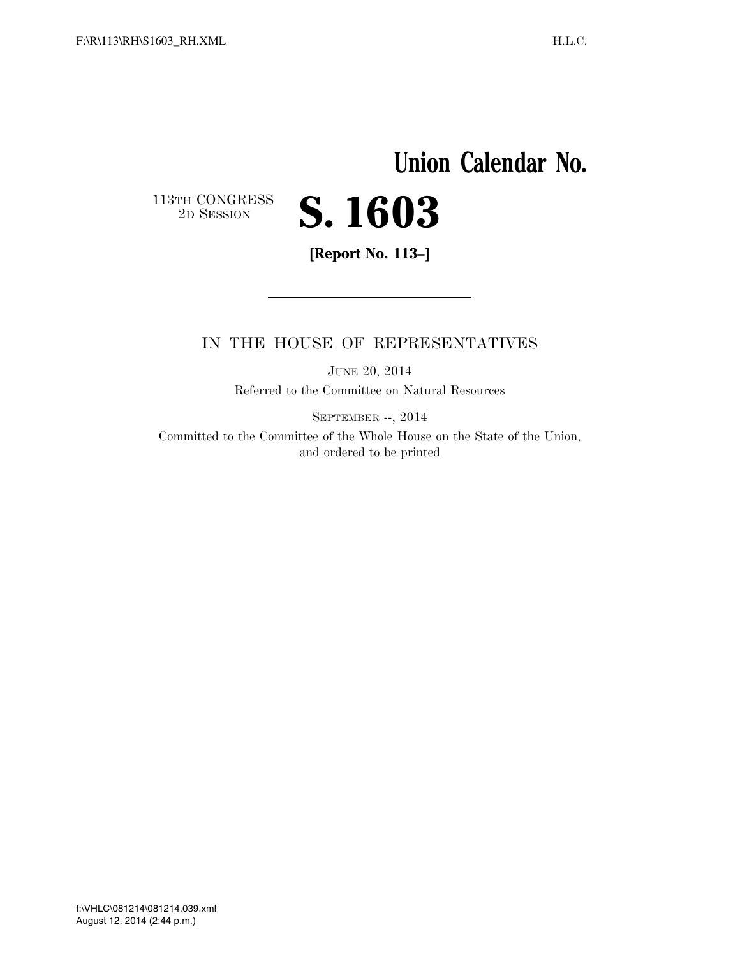## **Union Calendar No.**   $\begin{array}{c} \textbf{113TH CONGRESS} \\ \textbf{2D} \textbf{Session} \end{array}$ 2D SESSION **S. 1603**

**[Report No. 113–]** 

### IN THE HOUSE OF REPRESENTATIVES

JUNE 20, 2014 Referred to the Committee on Natural Resources

SEPTEMBER --, 2014

Committed to the Committee of the Whole House on the State of the Union, and ordered to be printed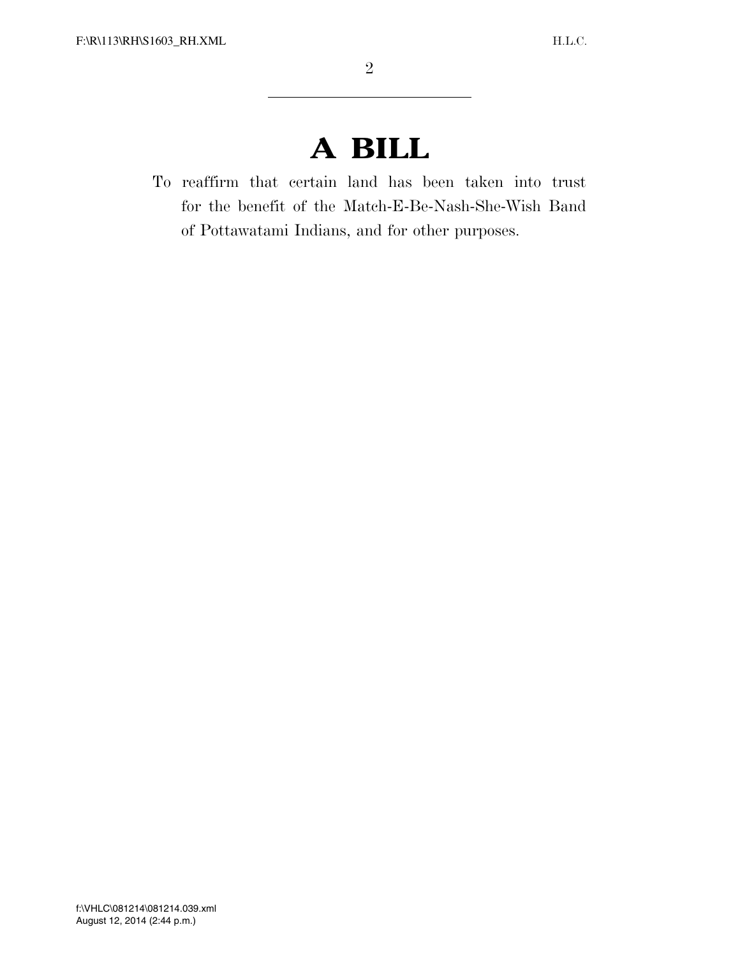# **A BILL**

To reaffirm that certain land has been taken into trust for the benefit of the Match-E-Be-Nash-She-Wish Band of Pottawatami Indians, and for other purposes.